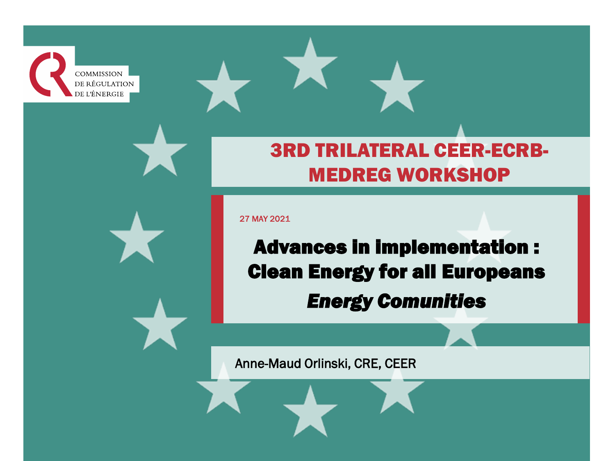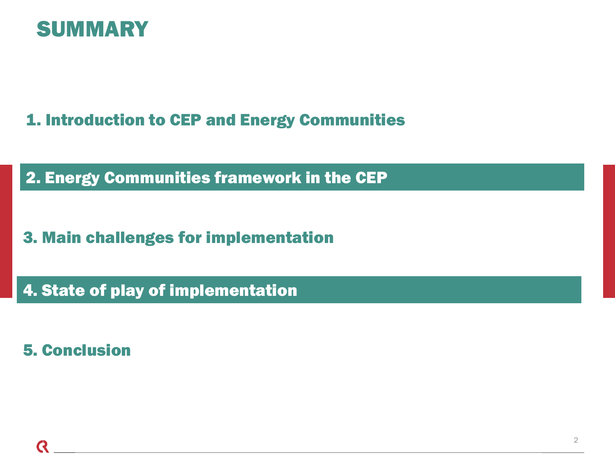

1. Introduction to CEP and Energy Communities

2. Energy Communities framework in the CEP

3. Main challenges for implementation

4. State of play of implementation

5. Conclusion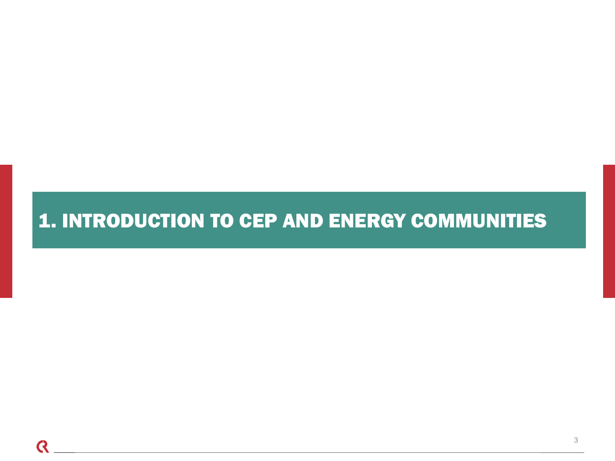### 1. INTRODUCTION TO CEP AND ENERGY COMMUNITIES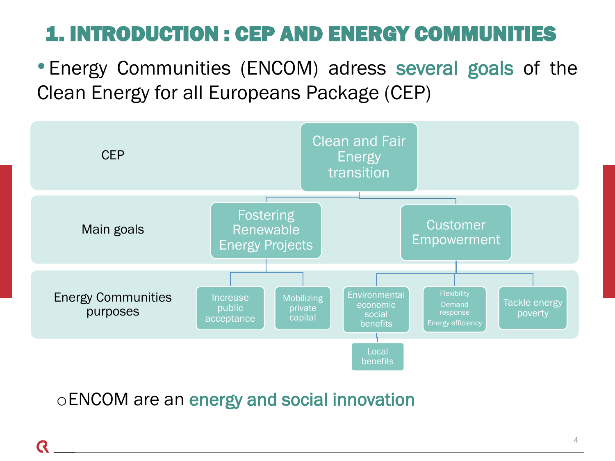## 1. INTRODUCTION : CEP AND ENERGY COMMUNI

• Energy Communities (ENCOM) adress several goals of the Clean Energy for all Europeans Package (CEP)



oENCOM are an energy and social innovation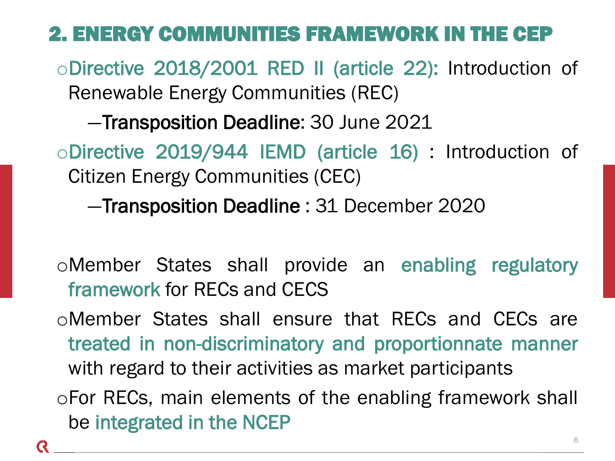oDirective 2018/2001 RED II (article 22): Introduction of Renewable Energy Communities (REC)

—Transposition Deadline: 30 June 2021

oDirective 2019/944 IEMD (article 16) : Introduction of Citizen Energy Communities (CEC)

—Transposition Deadline : 31 December 2020

oMember States shall provide an enabling regulatory framework for RECs and CECS

oMember States shall ensure that RECs and CECs are treated in non-discriminatory and proportionnate manner with regard to their activities as market participants oFor RECs, main elements of the enabling framework shall

be integrated in the NCEP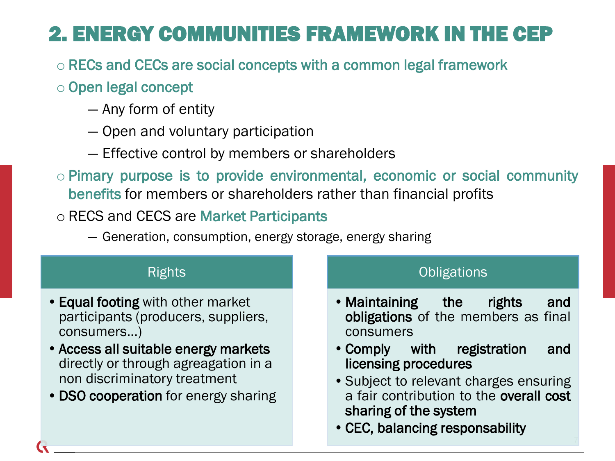o RECs and CECs are social concepts with a common legal framework

#### o Open legal concept

- Any form of entity
- Open and voluntary participation
- Effective control by members or shareholders
- o Pimary purpose is to provide environmental, economic or social community benefits for members or shareholders rather than financial profits
- o RECS and CECS are Market Participants
	- Generation, consumption, energy storage, energy sharing

#### **Rights**

- •Equal footing with other market participants (producers, suppliers, consumers…)
- •Access all suitable energy markets directly or through agreagation in a non discriminatory treatment
- DSO cooperation for energy sharing

#### **Obligations**

- •Maintaining the rights and obligations of the members as final consumers
- •Comply with registration and licensing procedures
- Subject to relevant charges ensuring a fair contribution to the overall cost sharing of the system
- •CEC, balancing responsability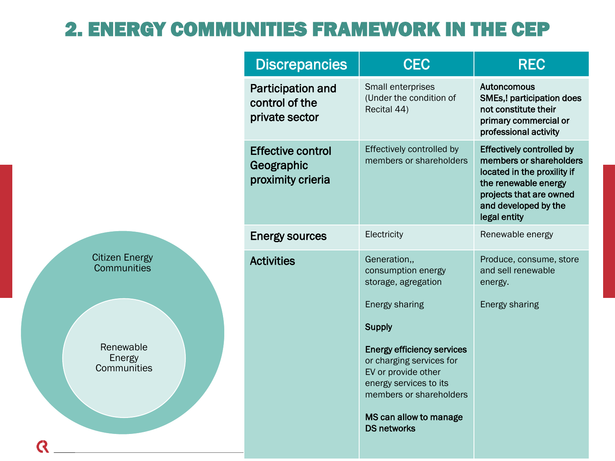

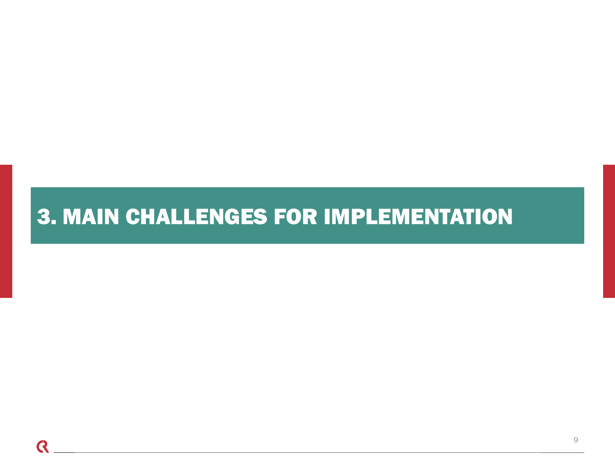# 3. MAIN CHALLENGES FOR IMPLEMENTATION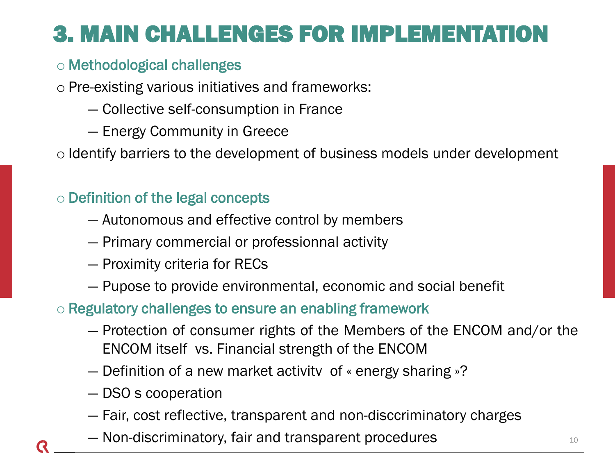# 3. MAIN CHALLENGES FOR IMPLEMENTATION

#### o Methodological challenges

o Pre-existing various initiatives and frameworks:

- Collective self-consumption in France
- Energy Community in Greece

o Identify barriers to the development of business models under development

#### o Definition of the legal concepts

- Autonomous and effective control by members
- Primary commercial or professionnal activity
- Proximity criteria for RECs
- Pupose to provide environmental, economic and social benefit
- o Regulatory challenges to ensure an enabling framework
	- Protection of consumer rights of the Members of the ENCOM and/or the ENCOM itself vs. Financial strength of the ENCOM
	- Definition of a new market activitv of « energy sharing »?
	- DSO s cooperation
	- Fair, cost reflective, transparent and non-disccriminatory charges
	- Non-discriminatory, fair and transparent procedures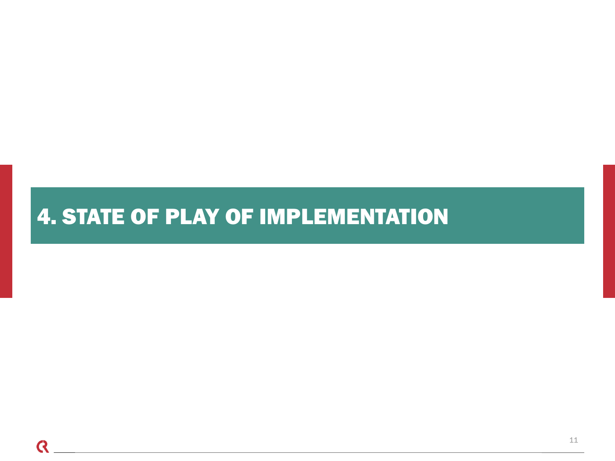## 4. STATE OF PLAY OF IMPLEMENTATION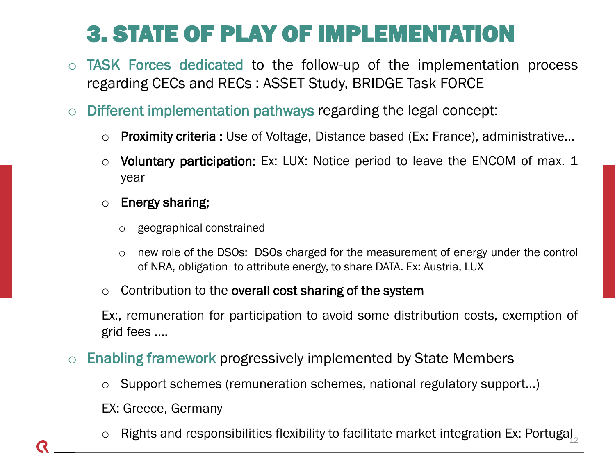# 3. STATE OF PLAY OF IMPLEMENTATION

- o TASK Forces dedicated to the follow-up of the implementation process regarding CECs and RECs : ASSET Study, BRIDGE Task FORCE
- $\circ$  Different implementation pathways regarding the legal concept:
	- o Proximity criteria : Use of Voltage, Distance based (Ex: France), administrative…
	- $\circ$  Voluntary participation: Ex: LUX: Notice period to leave the ENCOM of max. 1 year
	- o Energy sharing;
		- o geographical constrained
		- o new role of the DSOs: DSOs charged for the measurement of energy under the control of NRA, obligation to attribute energy, to share DATA. Ex: Austria, LUX
	- $\circ$  Contribution to the overall cost sharing of the system

Ex:, remuneration for participation to avoid some distribution costs, exemption of grid fees ….

- o Enabling framework progressively implemented by State Members
	- o Support schemes (remuneration schemes, national regulatory support…)
	- EX: Greece, Germany
	- $\,\circ\,\,$  Rights and responsibilities flexibility to facilitate market integration Ex: Portuga $\rm l_{2}$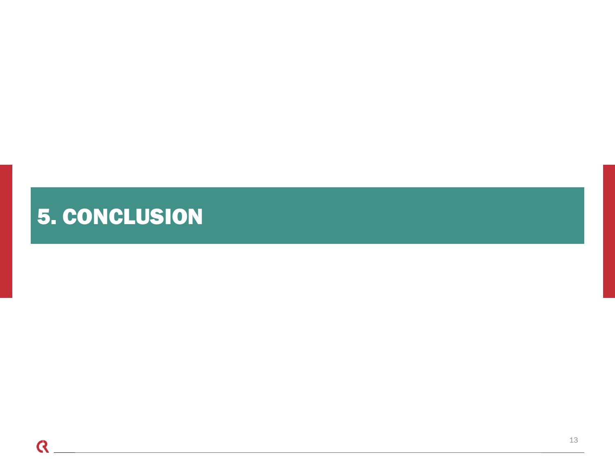## 5. CONCLUSION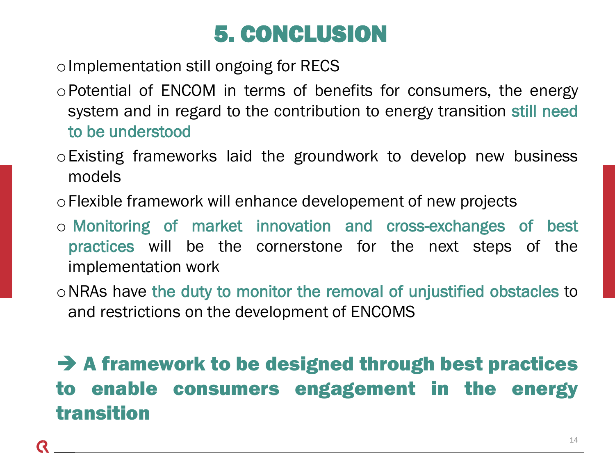## 5. CONCLUSION

oImplementation still ongoing for RECS

- oPotential of ENCOM in terms of benefits for consumers, the energy system and in regard to the contribution to energy transition still need to be understood
- oExisting frameworks laid the groundwork to develop new business models
- oFlexible framework will enhance developement of new projects
- o Monitoring of market innovation and cross-exchanges of best practices will be the cornerstone for the next steps of the implementation work
- oNRAs have the duty to monitor the removal of unjustified obstacles to and restrictions on the development of ENCOMS

## ➔ A framework to be designed through best practices to enable consumers engagement in the energy transition